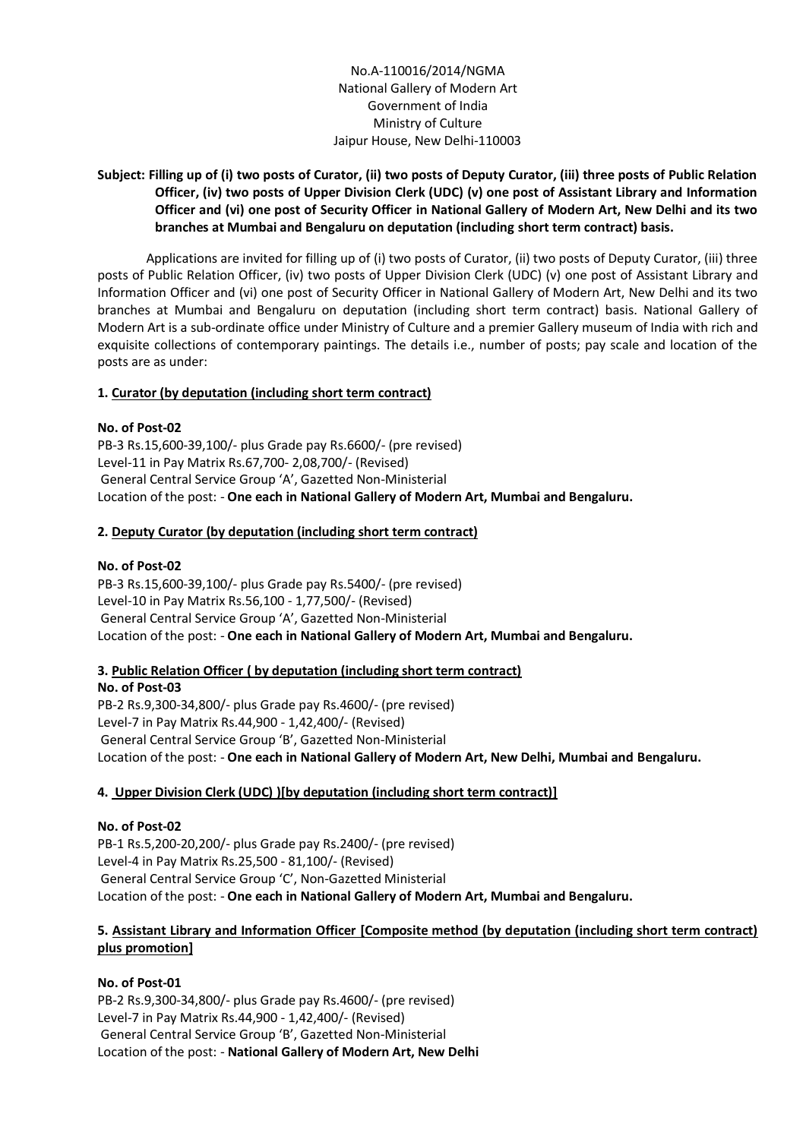No.A-110016/2014/NGMA National Gallery of Modern Art Government of India Ministry of Culture Jaipur House, New Delhi-110003

# **Subject: Filling up of (i) two posts of Curator, (ii) two posts of Deputy Curator, (iii) three posts of Public Relation Officer, (iv) two posts of Upper Division Clerk (UDC) (v) one post of Assistant Library and Information Officer and (vi) one post of Security Officer in National Gallery of Modern Art, New Delhi and its two branches at Mumbai and Bengaluru on deputation (including short term contract) basis.**

Applications are invited for filling up of (i) two posts of Curator, (ii) two posts of Deputy Curator, (iii) three posts of Public Relation Officer, (iv) two posts of Upper Division Clerk (UDC) (v) one post of Assistant Library and Information Officer and (vi) one post of Security Officer in National Gallery of Modern Art, New Delhi and its two branches at Mumbai and Bengaluru on deputation (including short term contract) basis. National Gallery of Modern Art is a sub-ordinate office under Ministry of Culture and a premier Gallery museum of India with rich and exquisite collections of contemporary paintings. The details i.e., number of posts; pay scale and location of the posts are as under:

# **1. Curator (by deputation (including short term contract)**

#### **No. of Post-02**

PB-3 Rs.15,600-39,100/- plus Grade pay Rs.6600/- (pre revised) Level-11 in Pay Matrix Rs.67,700- 2,08,700/- (Revised) General Central Service Group 'A', Gazetted Non-Ministerial Location of the post: - **One each in National Gallery of Modern Art, Mumbai and Bengaluru.**

# **2. Deputy Curator (by deputation (including short term contract)**

#### **No. of Post-02**

PB-3 Rs.15,600-39,100/- plus Grade pay Rs.5400/- (pre revised) Level-10 in Pay Matrix Rs.56,100 - 1,77,500/- (Revised) General Central Service Group 'A', Gazetted Non-Ministerial Location of the post: - **One each in National Gallery of Modern Art, Mumbai and Bengaluru.**

#### **3. Public Relation Officer ( by deputation (including short term contract)**

**No. of Post-03** PB-2 Rs.9,300-34,800/- plus Grade pay Rs.4600/- (pre revised) Level-7 in Pay Matrix Rs.44,900 - 1,42,400/- (Revised) General Central Service Group 'B', Gazetted Non-Ministerial Location of the post: - **One each in National Gallery of Modern Art, New Delhi, Mumbai and Bengaluru.**

#### **4. Upper Division Clerk (UDC) )[by deputation (including short term contract)]**

**No. of Post-02** PB-1 Rs.5,200-20,200/- plus Grade pay Rs.2400/- (pre revised) Level-4 in Pay Matrix Rs.25,500 - 81,100/- (Revised) General Central Service Group 'C', Non-Gazetted Ministerial Location of the post: - **One each in National Gallery of Modern Art, Mumbai and Bengaluru.**

# **5. Assistant Library and Information Officer [Composite method (by deputation (including short term contract) plus promotion]**

#### **No. of Post-01**

PB-2 Rs.9,300-34,800/- plus Grade pay Rs.4600/- (pre revised) Level-7 in Pay Matrix Rs.44,900 - 1,42,400/- (Revised) General Central Service Group 'B', Gazetted Non-Ministerial Location of the post: - **National Gallery of Modern Art, New Delhi**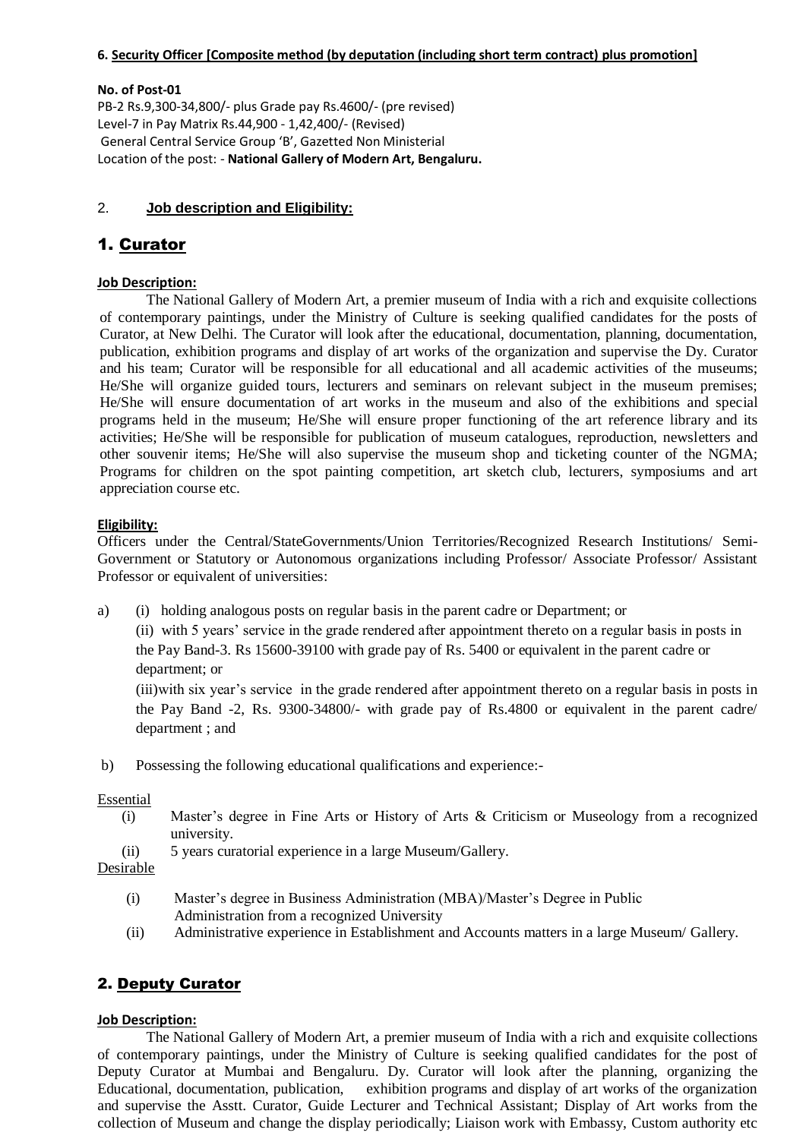#### **6. Security Officer [Composite method (by deputation (including short term contract) plus promotion]**

#### **No. of Post-01**

PB-2 Rs.9,300-34,800/- plus Grade pay Rs.4600/- (pre revised) Level-7 in Pay Matrix Rs.44,900 - 1,42,400/- (Revised) General Central Service Group 'B', Gazetted Non Ministerial Location of the post: - **National Gallery of Modern Art, Bengaluru.**

#### 2. **Job description and Eligibility:**

# 1. Curator

#### **Job Description:**

The National Gallery of Modern Art, a premier museum of India with a rich and exquisite collections of contemporary paintings, under the Ministry of Culture is seeking qualified candidates for the posts of Curator, at New Delhi. The Curator will look after the educational, documentation, planning, documentation, publication, exhibition programs and display of art works of the organization and supervise the Dy. Curator and his team; Curator will be responsible for all educational and all academic activities of the museums; He/She will organize guided tours, lecturers and seminars on relevant subject in the museum premises; He/She will ensure documentation of art works in the museum and also of the exhibitions and special programs held in the museum; He/She will ensure proper functioning of the art reference library and its activities; He/She will be responsible for publication of museum catalogues, reproduction, newsletters and other souvenir items; He/She will also supervise the museum shop and ticketing counter of the NGMA; Programs for children on the spot painting competition, art sketch club, lecturers, symposiums and art appreciation course etc.

# **Eligibility:**

Officers under the Central/StateGovernments/Union Territories/Recognized Research Institutions/ Semi-Government or Statutory or Autonomous organizations including Professor/ Associate Professor/ Assistant Professor or equivalent of universities:

a) (i) holding analogous posts on regular basis in the parent cadre or Department; or

(ii) with 5 years' service in the grade rendered after appointment thereto on a regular basis in posts in the Pay Band-3. Rs 15600-39100 with grade pay of Rs. 5400 or equivalent in the parent cadre or department; or

(iii)with six year's service in the grade rendered after appointment thereto on a regular basis in posts in the Pay Band -2, Rs. 9300-34800/- with grade pay of Rs.4800 or equivalent in the parent cadre/ department ; and

b) Possessing the following educational qualifications and experience:-

#### Essential

- (i) Master's degree in Fine Arts or History of Arts & Criticism or Museology from a recognized university.
- (ii) 5 years curatorial experience in a large Museum/Gallery.

Desirable

- (i) Master's degree in Business Administration (MBA)/Master's Degree in Public Administration from a recognized University
- (ii) Administrative experience in Establishment and Accounts matters in a large Museum/ Gallery.

# 2. Deputy Curator

#### **Job Description:**

The National Gallery of Modern Art, a premier museum of India with a rich and exquisite collections of contemporary paintings, under the Ministry of Culture is seeking qualified candidates for the post of Deputy Curator at Mumbai and Bengaluru. Dy. Curator will look after the planning, organizing the Educational, documentation, publication, exhibition programs and display of art works of the organization and supervise the Asstt. Curator, Guide Lecturer and Technical Assistant; Display of Art works from the collection of Museum and change the display periodically; Liaison work with Embassy, Custom authority etc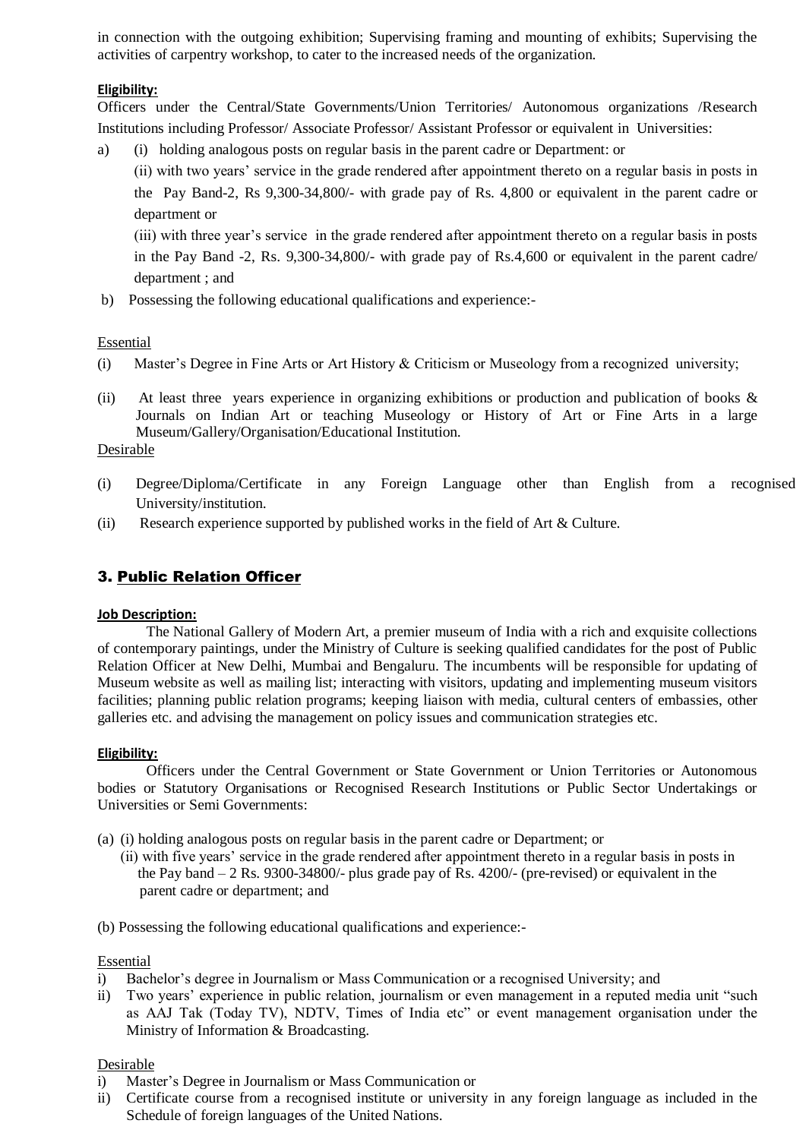in connection with the outgoing exhibition; Supervising framing and mounting of exhibits; Supervising the activities of carpentry workshop, to cater to the increased needs of the organization.

# **Eligibility:**

Officers under the Central/State Governments/Union Territories/ Autonomous organizations /Research Institutions including Professor/ Associate Professor/ Assistant Professor or equivalent in Universities:

a) (i) holding analogous posts on regular basis in the parent cadre or Department: or

(ii) with two years' service in the grade rendered after appointment thereto on a regular basis in posts in the Pay Band-2, Rs 9,300-34,800/- with grade pay of Rs. 4,800 or equivalent in the parent cadre or department or

(iii) with three year's service in the grade rendered after appointment thereto on a regular basis in posts in the Pay Band -2, Rs. 9,300-34,800/- with grade pay of Rs.4,600 or equivalent in the parent cadre/ department ; and

b) Possessing the following educational qualifications and experience:-

# Essential

- (i) Master's Degree in Fine Arts or Art History & Criticism or Museology from a recognized university;
- (ii) At least three years experience in organizing exhibitions or production and publication of books  $\&$ Journals on Indian Art or teaching Museology or History of Art or Fine Arts in a large Museum/Gallery/Organisation/Educational Institution.

#### Desirable

- (i) Degree/Diploma/Certificate in any Foreign Language other than English from a recognised University/institution.
- (ii) Research experience supported by published works in the field of Art & Culture.

# 3. Public Relation Officer

#### **Job Description:**

The National Gallery of Modern Art, a premier museum of India with a rich and exquisite collections of contemporary paintings, under the Ministry of Culture is seeking qualified candidates for the post of Public Relation Officer at New Delhi, Mumbai and Bengaluru. The incumbents will be responsible for updating of Museum website as well as mailing list; interacting with visitors, updating and implementing museum visitors facilities; planning public relation programs; keeping liaison with media, cultural centers of embassies, other galleries etc. and advising the management on policy issues and communication strategies etc.

#### **Eligibility:**

Officers under the Central Government or State Government or Union Territories or Autonomous bodies or Statutory Organisations or Recognised Research Institutions or Public Sector Undertakings or Universities or Semi Governments:

- (a) (i) holding analogous posts on regular basis in the parent cadre or Department; or
- (ii) with five years' service in the grade rendered after appointment thereto in a regular basis in posts in the Pay band  $-2$  Rs. 9300-34800/- plus grade pay of Rs. 4200/- (pre-revised) or equivalent in the parent cadre or department; and
- (b) Possessing the following educational qualifications and experience:-

#### Essential

- i) Bachelor's degree in Journalism or Mass Communication or a recognised University; and
- ii) Two years' experience in public relation, journalism or even management in a reputed media unit "such as AAJ Tak (Today TV), NDTV, Times of India etc" or event management organisation under the Ministry of Information & Broadcasting.

#### Desirable

- i) Master's Degree in Journalism or Mass Communication or
- ii) Certificate course from a recognised institute or university in any foreign language as included in the Schedule of foreign languages of the United Nations.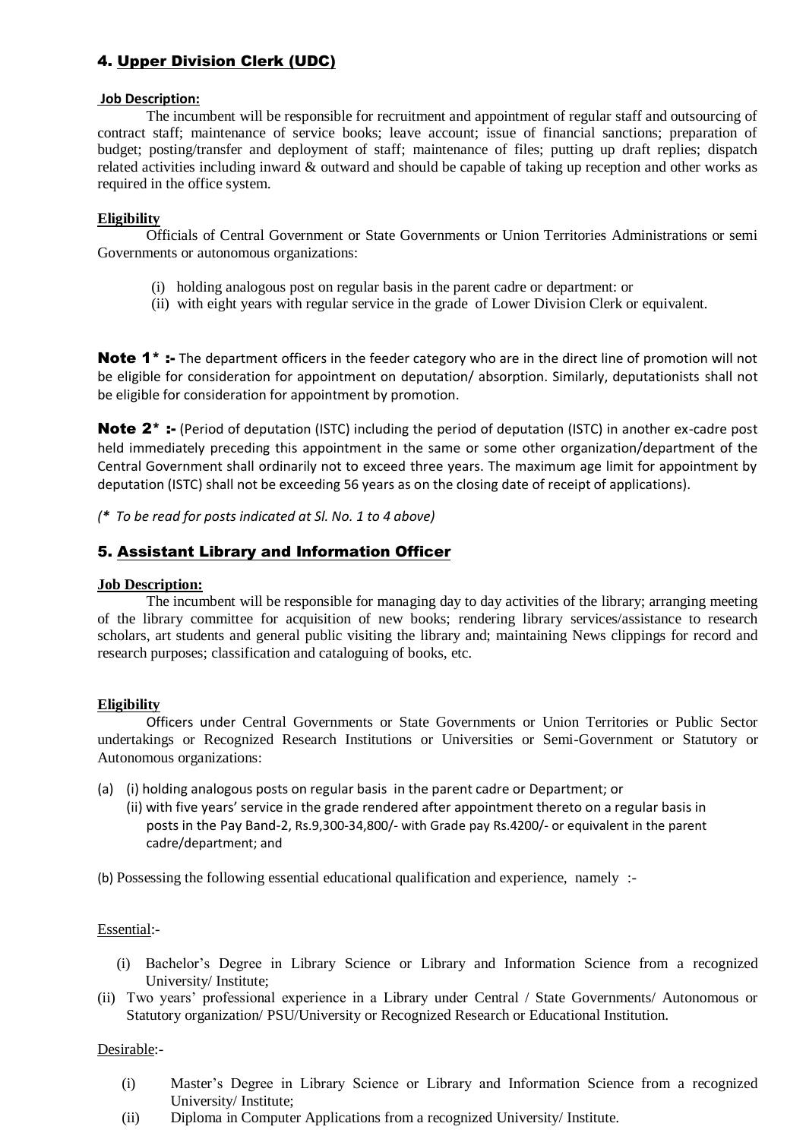# 4. Upper Division Clerk (UDC)

#### **Job Description:**

The incumbent will be responsible for recruitment and appointment of regular staff and outsourcing of contract staff; maintenance of service books; leave account; issue of financial sanctions; preparation of budget; posting/transfer and deployment of staff; maintenance of files; putting up draft replies; dispatch related activities including inward & outward and should be capable of taking up reception and other works as required in the office system.

#### **Eligibility**

Officials of Central Government or State Governments or Union Territories Administrations or semi Governments or autonomous organizations:

- (i) holding analogous post on regular basis in the parent cadre or department: or
- (ii) with eight years with regular service in the grade of Lower Division Clerk or equivalent.

**Note 1<sup>\*</sup>** :- The department officers in the feeder category who are in the direct line of promotion will not be eligible for consideration for appointment on deputation/ absorption. Similarly, deputationists shall not be eligible for consideration for appointment by promotion.

Note 2<sup>\*</sup> :- (Period of deputation (ISTC) including the period of deputation (ISTC) in another ex-cadre post held immediately preceding this appointment in the same or some other organization/department of the Central Government shall ordinarily not to exceed three years. The maximum age limit for appointment by deputation (ISTC) shall not be exceeding 56 years as on the closing date of receipt of applications).

*(\* To be read for posts indicated at Sl. No. 1 to 4 above)*

# 5. Assistant Library and Information Officer

#### **Job Description:**

The incumbent will be responsible for managing day to day activities of the library; arranging meeting of the library committee for acquisition of new books; rendering library services/assistance to research scholars, art students and general public visiting the library and; maintaining News clippings for record and research purposes; classification and cataloguing of books, etc.

#### **Eligibility**

Officers under Central Governments or State Governments or Union Territories or Public Sector undertakings or Recognized Research Institutions or Universities or Semi-Government or Statutory or Autonomous organizations:

- (a) (i) holding analogous posts on regular basis in the parent cadre or Department; or
	- (ii) with five years' service in the grade rendered after appointment thereto on a regular basis in posts in the Pay Band-2, Rs.9,300-34,800/- with Grade pay Rs.4200/- or equivalent in the parent cadre/department; and

(b) Possessing the following essential educational qualification and experience, namely :-

#### Essential:-

- (i) Bachelor's Degree in Library Science or Library and Information Science from a recognized University/ Institute;
- (ii) Two years' professional experience in a Library under Central / State Governments/ Autonomous or Statutory organization/ PSU/University or Recognized Research or Educational Institution.

#### Desirable:-

- (i) Master's Degree in Library Science or Library and Information Science from a recognized University/ Institute;
- (ii) Diploma in Computer Applications from a recognized University/ Institute.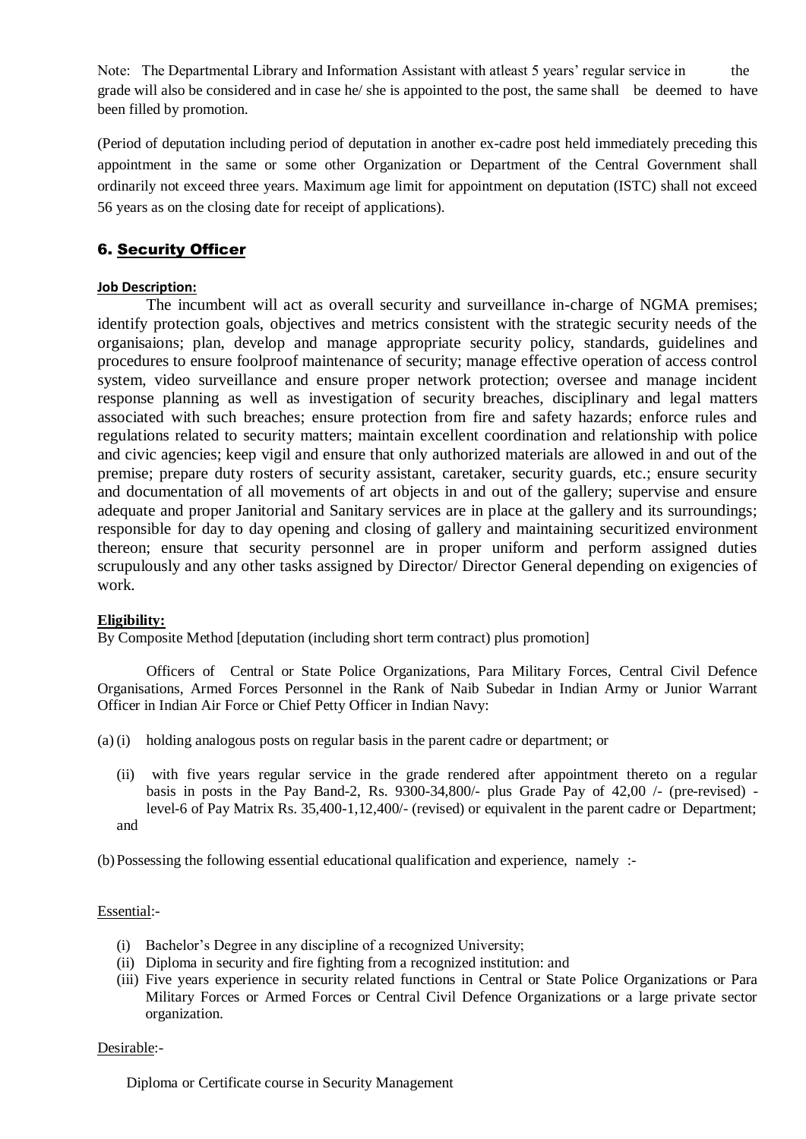Note: The Departmental Library and Information Assistant with atleast 5 years' regular service in the grade will also be considered and in case he/ she is appointed to the post, the same shall be deemed to have been filled by promotion.

(Period of deputation including period of deputation in another ex-cadre post held immediately preceding this appointment in the same or some other Organization or Department of the Central Government shall ordinarily not exceed three years. Maximum age limit for appointment on deputation (ISTC) shall not exceed 56 years as on the closing date for receipt of applications).

# 6. Security Officer

# **Job Description:**

The incumbent will act as overall security and surveillance in-charge of NGMA premises; identify protection goals, objectives and metrics consistent with the strategic security needs of the organisaions; plan, develop and manage appropriate security policy, standards, guidelines and procedures to ensure foolproof maintenance of security; manage effective operation of access control system, video surveillance and ensure proper network protection; oversee and manage incident response planning as well as investigation of security breaches, disciplinary and legal matters associated with such breaches; ensure protection from fire and safety hazards; enforce rules and regulations related to security matters; maintain excellent coordination and relationship with police and civic agencies; keep vigil and ensure that only authorized materials are allowed in and out of the premise; prepare duty rosters of security assistant, caretaker, security guards, etc.; ensure security and documentation of all movements of art objects in and out of the gallery; supervise and ensure adequate and proper Janitorial and Sanitary services are in place at the gallery and its surroundings; responsible for day to day opening and closing of gallery and maintaining securitized environment thereon; ensure that security personnel are in proper uniform and perform assigned duties scrupulously and any other tasks assigned by Director/ Director General depending on exigencies of work.

# **Eligibility:**

By Composite Method [deputation (including short term contract) plus promotion]

Officers of Central or State Police Organizations, Para Military Forces, Central Civil Defence Organisations, Armed Forces Personnel in the Rank of Naib Subedar in Indian Army or Junior Warrant Officer in Indian Air Force or Chief Petty Officer in Indian Navy:

- (a) (i) holding analogous posts on regular basis in the parent cadre or department; or
	- (ii) with five years regular service in the grade rendered after appointment thereto on a regular basis in posts in the Pay Band-2, Rs. 9300-34,800/- plus Grade Pay of 42,00 /- (pre-revised) level-6 of Pay Matrix Rs. 35,400-1,12,400/- (revised) or equivalent in the parent cadre or Department; and

(b)Possessing the following essential educational qualification and experience, namely :-

#### Essential:-

- (i) Bachelor's Degree in any discipline of a recognized University;
- (ii) Diploma in security and fire fighting from a recognized institution: and
- (iii) Five years experience in security related functions in Central or State Police Organizations or Para Military Forces or Armed Forces or Central Civil Defence Organizations or a large private sector organization.

#### Desirable:-

Diploma or Certificate course in Security Management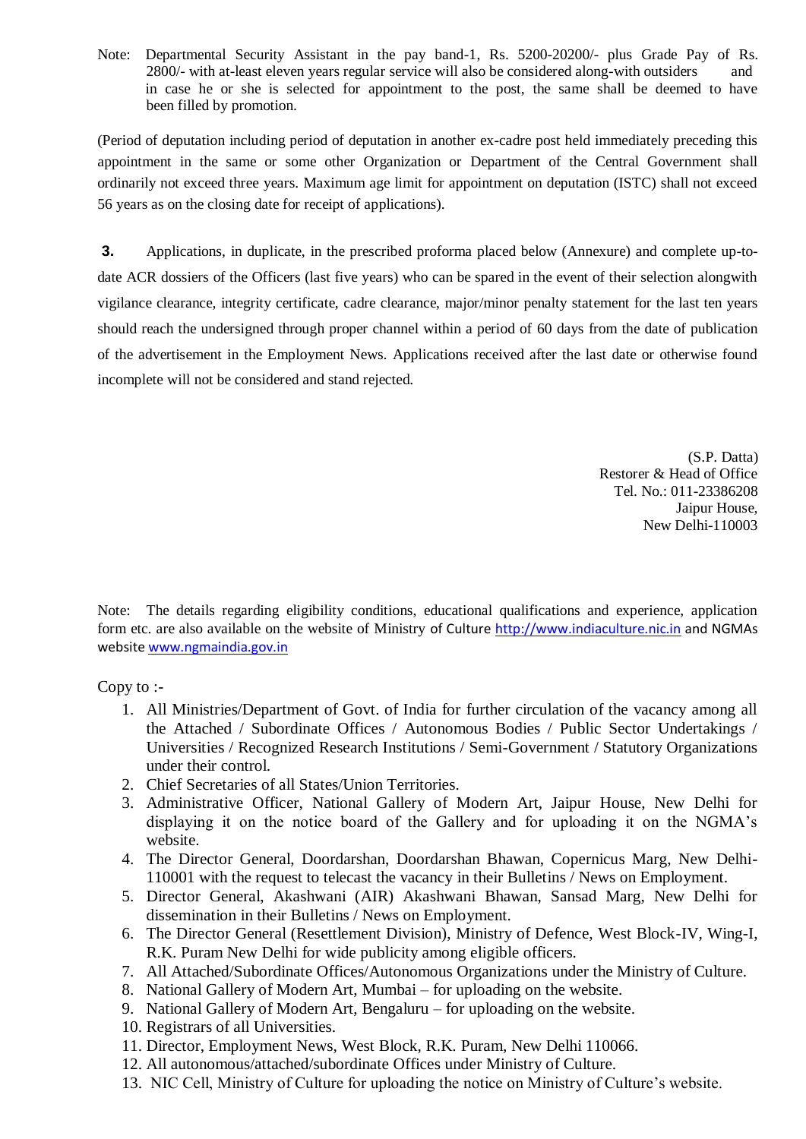Note: Departmental Security Assistant in the pay band-1, Rs. 5200-20200/- plus Grade Pay of Rs. 2800/- with at-least eleven years regular service will also be considered along-with outsiders and in case he or she is selected for appointment to the post, the same shall be deemed to have been filled by promotion.

(Period of deputation including period of deputation in another ex-cadre post held immediately preceding this appointment in the same or some other Organization or Department of the Central Government shall ordinarily not exceed three years. Maximum age limit for appointment on deputation (ISTC) shall not exceed 56 years as on the closing date for receipt of applications).

**3.** Applications, in duplicate, in the prescribed proforma placed below (Annexure) and complete up-todate ACR dossiers of the Officers (last five years) who can be spared in the event of their selection alongwith vigilance clearance, integrity certificate, cadre clearance, major/minor penalty statement for the last ten years should reach the undersigned through proper channel within a period of 60 days from the date of publication of the advertisement in the Employment News. Applications received after the last date or otherwise found incomplete will not be considered and stand rejected.

> (S.P. Datta) Restorer & Head of Office Tel. No.: 011-23386208 Jaipur House, New Delhi-110003

Note: The details regarding eligibility conditions, educational qualifications and experience, application form etc. are also available on the website of Ministry of Culture [http://www.indiaculture.nic.in](http://www.indiaculture.nic.in/) and NGMAs websit[e www.ngmaindia.gov.in](http://www.ngmaindia.gov.in/)

Copy to :-

- 1. All Ministries/Department of Govt. of India for further circulation of the vacancy among all the Attached / Subordinate Offices / Autonomous Bodies / Public Sector Undertakings / Universities / Recognized Research Institutions / Semi-Government / Statutory Organizations under their control.
- 2. Chief Secretaries of all States/Union Territories.
- 3. Administrative Officer, National Gallery of Modern Art, Jaipur House, New Delhi for displaying it on the notice board of the Gallery and for uploading it on the NGMA's website.
- 4. The Director General, Doordarshan, Doordarshan Bhawan, Copernicus Marg, New Delhi-110001 with the request to telecast the vacancy in their Bulletins / News on Employment.
- 5. Director General, Akashwani (AIR) Akashwani Bhawan, Sansad Marg, New Delhi for dissemination in their Bulletins / News on Employment.
- 6. The Director General (Resettlement Division), Ministry of Defence, West Block-IV, Wing-I, R.K. Puram New Delhi for wide publicity among eligible officers.
- 7. All Attached/Subordinate Offices/Autonomous Organizations under the Ministry of Culture.
- 8. National Gallery of Modern Art, Mumbai for uploading on the website.
- 9. National Gallery of Modern Art, Bengaluru for uploading on the website.
- 10. Registrars of all Universities.
- 11. Director, Employment News, West Block, R.K. Puram, New Delhi 110066.
- 12. All autonomous/attached/subordinate Offices under Ministry of Culture.
- 13. NIC Cell, Ministry of Culture for uploading the notice on Ministry of Culture's website.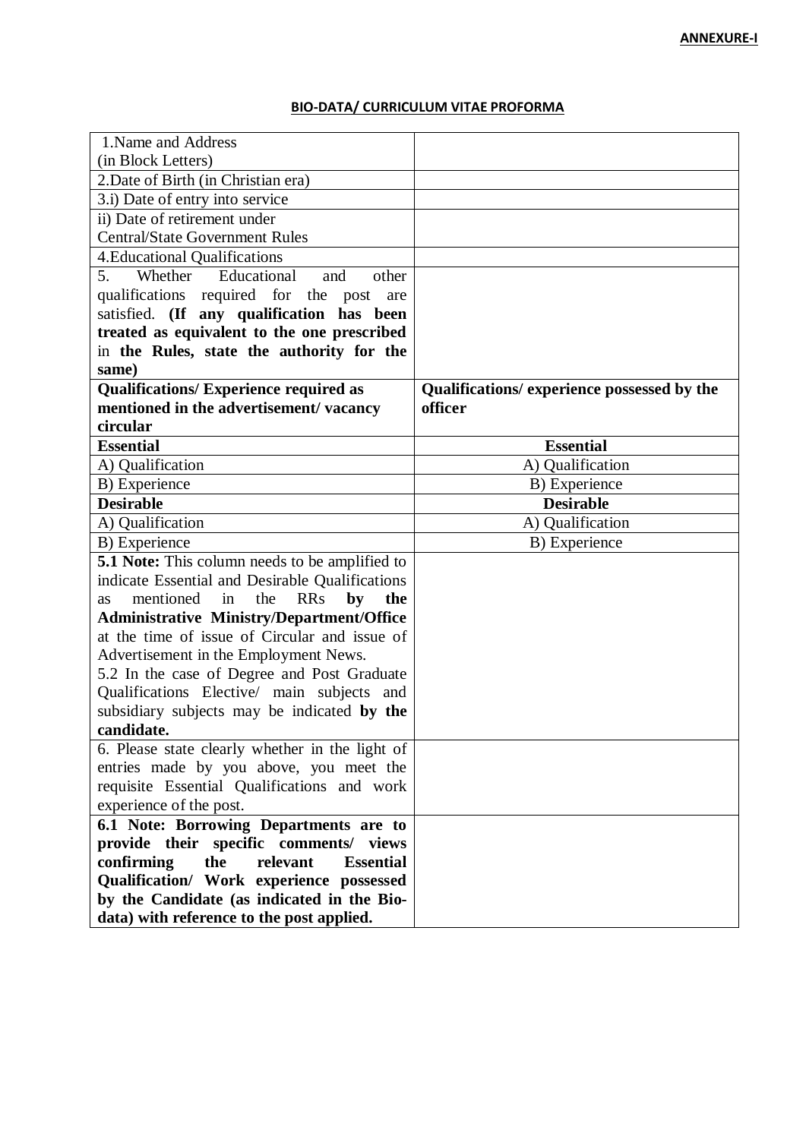# **BIO-DATA/ CURRICULUM VITAE PROFORMA**

| 1. Name and Address                                            |                                             |
|----------------------------------------------------------------|---------------------------------------------|
| (in Block Letters)                                             |                                             |
| 2. Date of Birth (in Christian era)                            |                                             |
| 3.i) Date of entry into service                                |                                             |
| ii) Date of retirement under                                   |                                             |
| <b>Central/State Government Rules</b>                          |                                             |
| <b>4. Educational Qualifications</b>                           |                                             |
| Educational<br>5.<br>Whether<br>other<br>and                   |                                             |
| qualifications required for the post<br>are                    |                                             |
| satisfied. (If any qualification has been                      |                                             |
| treated as equivalent to the one prescribed                    |                                             |
| in the Rules, state the authority for the                      |                                             |
| same)                                                          |                                             |
| <b>Qualifications/ Experience required as</b>                  | Qualifications/ experience possessed by the |
| mentioned in the advertisement/vacancy                         | officer                                     |
| circular                                                       |                                             |
| <b>Essential</b>                                               | <b>Essential</b>                            |
| A) Qualification                                               | A) Qualification                            |
| B) Experience                                                  | B) Experience                               |
| <b>Desirable</b>                                               | <b>Desirable</b>                            |
| A) Qualification                                               | A) Qualification                            |
| B) Experience                                                  | B) Experience                               |
| <b>5.1 Note:</b> This column needs to be amplified to          |                                             |
| indicate Essential and Desirable Qualifications                |                                             |
| the<br><b>RRs</b><br>by<br>mentioned<br>in<br>the<br><b>as</b> |                                             |
| <b>Administrative Ministry/Department/Office</b>               |                                             |
| at the time of issue of Circular and issue of                  |                                             |
| Advertisement in the Employment News.                          |                                             |
| 5.2 In the case of Degree and Post Graduate                    |                                             |
| Qualifications Elective/ main subjects and                     |                                             |
| subsidiary subjects may be indicated by the<br>candidate.      |                                             |
| 6. Please state clearly whether in the light of                |                                             |
| entries made by you above, you meet the                        |                                             |
| requisite Essential Qualifications and work                    |                                             |
| experience of the post.                                        |                                             |
| 6.1 Note: Borrowing Departments are to                         |                                             |
| provide their specific comments/ views                         |                                             |
| confirming<br>relevant<br>the<br><b>Essential</b>              |                                             |
| Qualification/ Work experience possessed                       |                                             |
| by the Candidate (as indicated in the Bio-                     |                                             |
| data) with reference to the post applied.                      |                                             |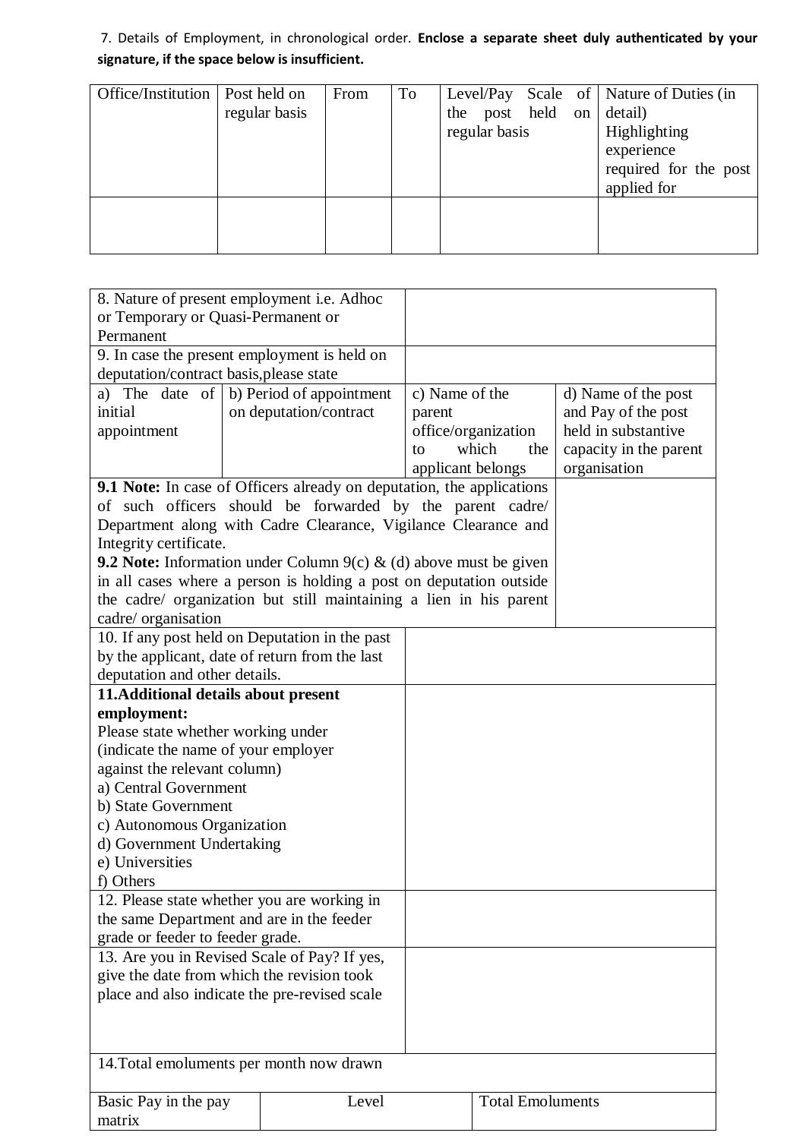# 7. Details of Employment, in chronological order. **Enclose a separate sheet duly authenticated by your signature, if the space below is insufficient.**

| Office/Institution | Post held on<br>regular basis | From | To | the post held on<br>regular basis |  | Level/Pay Scale of   Nature of Duties (in<br>detail)<br>Highlighting<br>experience<br>required for the post |
|--------------------|-------------------------------|------|----|-----------------------------------|--|-------------------------------------------------------------------------------------------------------------|
|                    |                               |      |    |                                   |  | applied for                                                                                                 |

|                                         | 8. Nature of present employment i.e. Adhoc                                 |                              |                         |                                            |
|-----------------------------------------|----------------------------------------------------------------------------|------------------------------|-------------------------|--------------------------------------------|
| or Temporary or Quasi-Permanent or      |                                                                            |                              |                         |                                            |
| Permanent                               |                                                                            |                              |                         |                                            |
|                                         | 9. In case the present employment is held on                               |                              |                         |                                            |
| deputation/contract basis, please state |                                                                            |                              |                         |                                            |
| a) The date of $\vert$<br>initial       | b) Period of appointment                                                   | c) Name of the               |                         | d) Name of the post                        |
|                                         | on deputation/contract                                                     | parent                       |                         | and Pay of the post<br>held in substantive |
| appointment                             |                                                                            | office/organization<br>which | the                     |                                            |
|                                         |                                                                            | to<br>applicant belongs      |                         | capacity in the parent<br>organisation     |
|                                         | 9.1 Note: In case of Officers already on deputation, the applications      |                              |                         |                                            |
|                                         | of such officers should be forwarded by the parent cadre/                  |                              |                         |                                            |
|                                         | Department along with Cadre Clearance, Vigilance Clearance and             |                              |                         |                                            |
| Integrity certificate.                  |                                                                            |                              |                         |                                            |
|                                         | <b>9.2 Note:</b> Information under Column $9(c)$ & (d) above must be given |                              |                         |                                            |
|                                         | in all cases where a person is holding a post on deputation outside        |                              |                         |                                            |
|                                         | the cadre/ organization but still maintaining a lien in his parent         |                              |                         |                                            |
| cadre/ organisation                     |                                                                            |                              |                         |                                            |
|                                         | 10. If any post held on Deputation in the past                             |                              |                         |                                            |
|                                         | by the applicant, date of return from the last                             |                              |                         |                                            |
| deputation and other details.           |                                                                            |                              |                         |                                            |
| 11. Additional details about present    |                                                                            |                              |                         |                                            |
| employment:                             |                                                                            |                              |                         |                                            |
| Please state whether working under      |                                                                            |                              |                         |                                            |
| (indicate the name of your employer     |                                                                            |                              |                         |                                            |
| against the relevant column)            |                                                                            |                              |                         |                                            |
| a) Central Government                   |                                                                            |                              |                         |                                            |
| b) State Government                     |                                                                            |                              |                         |                                            |
| c) Autonomous Organization              |                                                                            |                              |                         |                                            |
| d) Government Undertaking               |                                                                            |                              |                         |                                            |
| e) Universities                         |                                                                            |                              |                         |                                            |
| f) Others                               |                                                                            |                              |                         |                                            |
|                                         | 12. Please state whether you are working in                                |                              |                         |                                            |
|                                         | the same Department and are in the feeder                                  |                              |                         |                                            |
| grade or feeder to feeder grade.        | 13. Are you in Revised Scale of Pay? If yes,                               |                              |                         |                                            |
|                                         | give the date from which the revision took                                 |                              |                         |                                            |
|                                         | place and also indicate the pre-revised scale                              |                              |                         |                                            |
|                                         |                                                                            |                              |                         |                                            |
|                                         |                                                                            |                              |                         |                                            |
|                                         |                                                                            |                              |                         |                                            |
|                                         | 14. Total emoluments per month now drawn                                   |                              |                         |                                            |
|                                         |                                                                            |                              |                         |                                            |
| Basic Pay in the pay                    | Level                                                                      |                              | <b>Total Emoluments</b> |                                            |
| matrix                                  |                                                                            |                              |                         |                                            |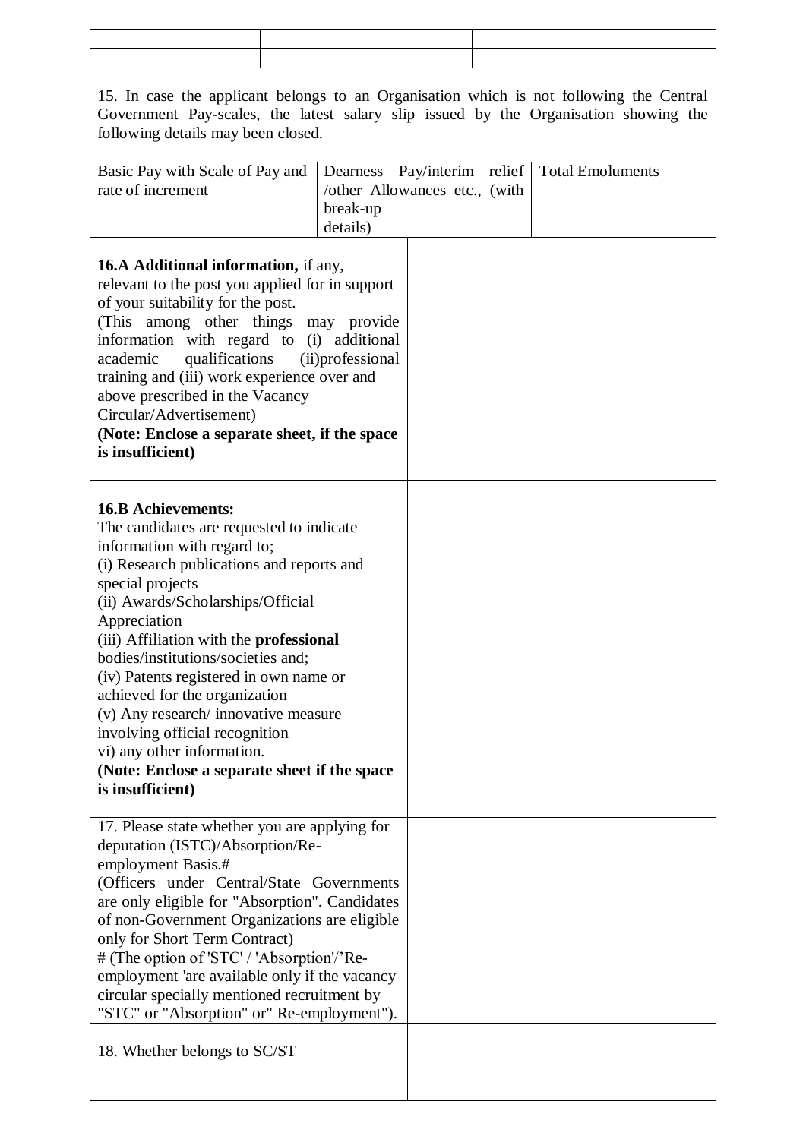| 15. In case the applicant belongs to an Organisation which is not following the Central<br>Government Pay-scales, the latest salary slip issued by the Organisation showing the<br>following details may been closed.                                                                                                                                                                                                                                                                                                                                                     |                                                                   |                    |  |                         |  |  |  |
|---------------------------------------------------------------------------------------------------------------------------------------------------------------------------------------------------------------------------------------------------------------------------------------------------------------------------------------------------------------------------------------------------------------------------------------------------------------------------------------------------------------------------------------------------------------------------|-------------------------------------------------------------------|--------------------|--|-------------------------|--|--|--|
| Basic Pay with Scale of Pay and<br>rate of increment                                                                                                                                                                                                                                                                                                                                                                                                                                                                                                                      | Dearness<br>/other Allowances etc., (with<br>break-up<br>details) | Pay/interim relief |  | <b>Total Emoluments</b> |  |  |  |
| <b>16.A Additional information, if any,</b><br>relevant to the post you applied for in support<br>of your suitability for the post.<br>(This among other things may provide<br>information with regard to (i) additional<br>qualifications<br>academic<br>training and (iii) work experience over and<br>above prescribed in the Vacancy<br>Circular/Advertisement)<br>(Note: Enclose a separate sheet, if the space<br>is insufficient)                                                                                                                                  | (ii)professional                                                  |                    |  |                         |  |  |  |
| <b>16.B Achievements:</b><br>The candidates are requested to indicate<br>information with regard to;<br>(i) Research publications and reports and<br>special projects<br>(ii) Awards/Scholarships/Official<br>Appreciation<br>(iii) Affiliation with the <b>professional</b><br>bodies/institutions/societies and;<br>(iv) Patents registered in own name or<br>achieved for the organization<br>(v) Any research/ innovative measure<br>involving official recognition<br>vi) any other information.<br>(Note: Enclose a separate sheet if the space<br>is insufficient) |                                                                   |                    |  |                         |  |  |  |
| 17. Please state whether you are applying for<br>deputation (ISTC)/Absorption/Re-<br>employment Basis.#<br>(Officers under Central/State Governments<br>are only eligible for "Absorption". Candidates<br>of non-Government Organizations are eligible<br>only for Short Term Contract)<br># (The option of 'STC' / 'Absorption'/'Re-<br>employment 'are available only if the vacancy<br>circular specially mentioned recruitment by<br>"STC" or "Absorption" or" Re-employment").                                                                                       |                                                                   |                    |  |                         |  |  |  |
| 18. Whether belongs to SC/ST                                                                                                                                                                                                                                                                                                                                                                                                                                                                                                                                              |                                                                   |                    |  |                         |  |  |  |